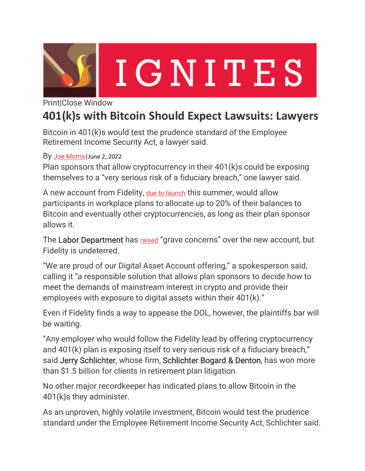

## IGNITES

Print|Close Window

## **401(k)s with Bitcoin Should Expect Lawsuits: Lawyers**

Bitcoin in 401(k)s would test the prudence standard of the Employee Retirement Income Security Act, a lawyer said.

By Joe Morris June 2, 2022

Plan sponsors that allow cryptocurrency in their 401(k)s could be exposing themselves to a "very serious risk of a fiduciary breach," one lawyer said.

A new account from Fidelity, due to launch this summer, would allow participants in workplace plans to allocate up to 20% of their balances to Bitcoin and eventually other cryptocurrencies, as long as their plan sponsor allows it.

The Labor Department has raised "grave concerns" over the new account, but Fidelity is undeterred.

"We are proud of our Digital Asset Account offering," a spokesperson said, calling it "a responsible solution that allows plan sponsors to decide how to meet the demands of mainstream interest in crypto and provide their employees with exposure to digital assets within their 401(k)."

Even if Fidelity finds a way to appease the DOL, however, the plaintiffs bar will be waiting.

"Any employer who would follow the Fidelity lead by offering cryptocurrency and 401(k) plan is exposing itself to very serious risk of a fiduciary breach," said Jerry Schlichter, whose firm, Schlichter Bogard & Denton, has won more than \$1.5 billion for clients in retirement plan litigation.

No other major recordkeeper has indicated plans to allow Bitcoin in the 401(k)s they administer.

As an unproven, highly volatile investment, Bitcoin would test the prudence standard under the Employee Retirement Income Security Act, Schlichter said.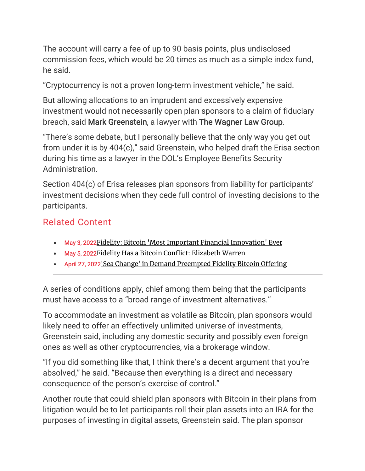The account will carry a fee of up to 90 basis points, plus undisclosed commission fees, which would be 20 times as much as a simple index fund, he said.

"Cryptocurrency is not a proven long-term investment vehicle," he said.

But allowing allocations to an imprudent and excessively expensive investment would not necessarily open plan sponsors to a claim of fiduciary breach, said Mark Greenstein, a lawyer with The Wagner Law Group.

"There's some debate, but I personally believe that the only way you get out from under it is by 404(c)," said Greenstein, who helped draft the Erisa section during his time as a lawyer in the DOL's Employee Benefits Security Administration.

Section 404(c) of Erisa releases plan sponsors from liability for participants' investment decisions when they cede full control of investing decisions to the participants.

## Related Content

- May 3, 2022 Fidelity: Bitcoin 'Most Important Financial Innovation' Ever
- May 5, 2022Fidelity Has a Bitcoin Conflict: Elizabeth Warren
- April 27, 2022'Sea Change' in Demand Preempted Fidelity Bitcoin Offering

A series of conditions apply, chief among them being that the participants must have access to a "broad range of investment alternatives."

To accommodate an investment as volatile as Bitcoin, plan sponsors would likely need to offer an effectively unlimited universe of investments, Greenstein said, including any domestic security and possibly even foreign ones as well as other cryptocurrencies, via a brokerage window.

"If you did something like that, I think there's a decent argument that you're absolved," he said. "Because then everything is a direct and necessary consequence of the person's exercise of control."

Another route that could shield plan sponsors with Bitcoin in their plans from litigation would be to let participants roll their plan assets into an IRA for the purposes of investing in digital assets, Greenstein said. The plan sponsor